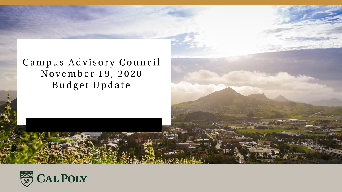#### Campus Advisory Council November 19, 2020 Budget Update

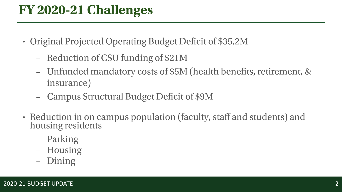## FY 2020-21 Challenges

- Original Projected Operating Budget Deficit of \$35.2M
	- Reduction of CSU funding of \$21M
	- Unfunded mandatory costs of \$5M (health benefits, retirement, & insurance)
	- **Campus Structural Budget Deficit of \$9M** –
- Reduction in on campus population (faculty, staff and students) and housing residents
	- Parking
	- Housing
	- Dining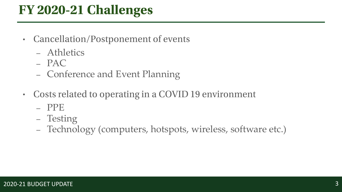## FY 2020-21 Challenges

- Cancellation/Postponement of events
	- Athletics
	- $-$  PAC
	- Conference and Event Planning
- Costs related to operating in a COVID 19 environment •
	- PPE
	- Testing
	- Technology (computers, hotspots, wireless, software etc.)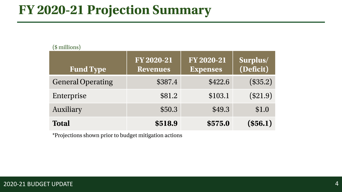## **FY 2020-21 Projection Summary**

| $(\psi$ illulollo)       |                               |                                      |                       |  |  |
|--------------------------|-------------------------------|--------------------------------------|-----------------------|--|--|
| <b>Fund Type</b>         | FY 2020-21<br><b>Revenues</b> | <b>FY 2020-21</b><br><b>Expenses</b> | Surplus/<br>(Deficit) |  |  |
| <b>General Operating</b> | \$387.4                       | \$422.6                              | (\$35.2)              |  |  |
| Enterprise               | \$81.2                        | \$103.1                              | (\$21.9)              |  |  |
| Auxiliary                | \$50.3                        | \$49.3                               | \$1.0                 |  |  |
| <b>Total</b>             | \$518.9                       | \$575.0                              | (\$56.1)              |  |  |

\*Projections shown prior to budget mitigation actions

 $$$  millione)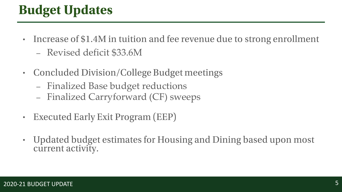# **Budget Updates**

- Increase of \$1.4M in tuition and fee revenue due to strong enrollment
	- Revised deficit \$33.6M
- Concluded Division/College Budget meetings
	- Finalized Base budget reductions
	- Finalized Carryforward (CF) sweeps
- **Executed Early Exit Program (EEP)** •
- Updated budget estimates for Housing and Dining based upon most • current activity.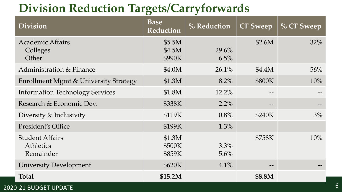## **Division Reduction Targets/Carryforwards**

| <b>Division</b>                                  | <b>Base</b><br><b>Reduction</b> | $%$ Reduction | <b>CF Sweep</b> | $\%$ CF Sweep |
|--------------------------------------------------|---------------------------------|---------------|-----------------|---------------|
| <b>Academic Affairs</b><br>Colleges<br>Other     | \$5.5M<br>\$4.5M<br>\$990K      | 29.6%<br>6.5% | \$2.6M          | 32%           |
| Administration & Finance                         | \$4.0M                          | 26.1%         | \$4.4M          | 56%           |
| Enrollment Mgmt & University Strategy            | \$1.3M                          | 8.2%          | \$800K          | 10%           |
| <b>Information Technology Services</b>           | \$1.8M                          | 12.2%         |                 |               |
| Research & Economic Dev.                         | \$338K                          | $2.2\%$       | $- -$           | $- -$         |
| Diversity & Inclusivity                          | \$119K                          | 0.8%          | \$240K          | 3%            |
| President's Office                               | \$199K                          | $1.3\%$       |                 |               |
| <b>Student Affairs</b><br>Athletics<br>Remainder | \$1.3M<br>\$500K<br>\$859K      | 3.3%<br>5.6%  | \$758K          | 10%           |
| <b>University Development</b>                    | \$620K                          | 4.1%          |                 |               |
| <b>Total</b>                                     | \$15.2M                         |               | \$8.8M          |               |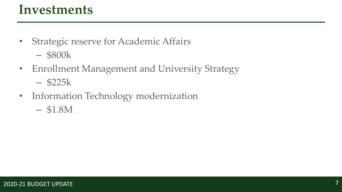### **Investments**

- Strategic reserve for Academic Affairs
	- \$800k
- Enrollment Management and University Strategy
	- \$225k
- Information Technology modernization
	- \$1.8M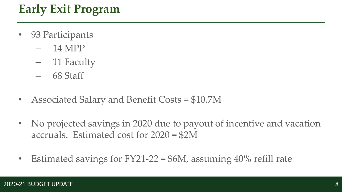## **Early Exit Program**

- 93 Participants
	- $-14 \text{ MPP}$
	- 11 Faculty
	- 68 Staff
- Associated Salary and Benefit Costs = \$10.7M
- No projected savings in 2020 due to payout of incentive and vacation accruals. Estimated cost for 2020 = \$2M
- Estimated savings for  $FY21-22 = $6M$ , assuming  $40\%$  refill rate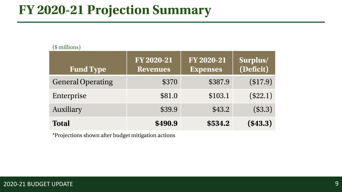## **FY 2020-21 Projection Summary**

| $\sqrt{\phi}$ municipal  |                                      |                                      |                       |  |
|--------------------------|--------------------------------------|--------------------------------------|-----------------------|--|
| <b>Fund Type</b>         | <b>FY 2020-21</b><br><b>Revenues</b> | <b>FY 2020-21</b><br><b>Expenses</b> | Surplus/<br>(Deficit) |  |
| <b>General Operating</b> | \$370                                | \$387.9                              | (\$17.9)              |  |
| Enterprise               | \$81.0                               | \$103.1                              | (\$22.1)              |  |
| Auxiliary                | \$39.9                               | \$43.2                               | (\$3.3)               |  |
| <b>Total</b>             | \$490.9                              | \$534.2                              | (\$43.3)              |  |

\*Projections shown after budget mitigation actions

 $$$  millione)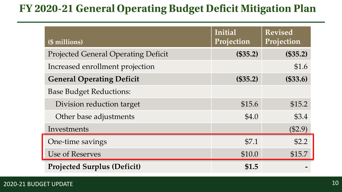#### FY 2020-21 General Operating Budget Deficit Mitigation Plan

| (\$ millions)                              | Initial<br>Projection | <b>Revised</b><br>Projection |
|--------------------------------------------|-----------------------|------------------------------|
| <b>Projected General Operating Deficit</b> | (\$35.2)              | (\$35.2)                     |
| Increased enrollment projection            |                       | \$1.6                        |
| <b>General Operating Deficit</b>           | (\$35.2)              | (\$33.6)                     |
| <b>Base Budget Reductions:</b>             |                       |                              |
| Division reduction target                  | \$15.6                | \$15.2                       |
| Other base adjustments                     | \$4.0                 | \$3.4                        |
| Investments                                |                       | (\$2.9)                      |
| One-time savings                           | \$7.1                 | \$2.2                        |
| Use of Reserves                            | \$10.0                | \$15.7                       |
| <b>Projected Surplus (Deficit)</b>         | \$1.5                 |                              |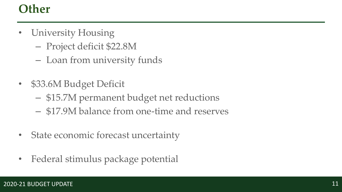#### **Other**

- University Housing
	- Project deficit \$22.8M
	- Loan from university funds
- \$33.6M Budget Deficit
	- \$15.7M permanent budget net reductions
	- \$17.9M balance from one-time and reserves
- State economic forecast uncertainty
- Federal stimulus package potential